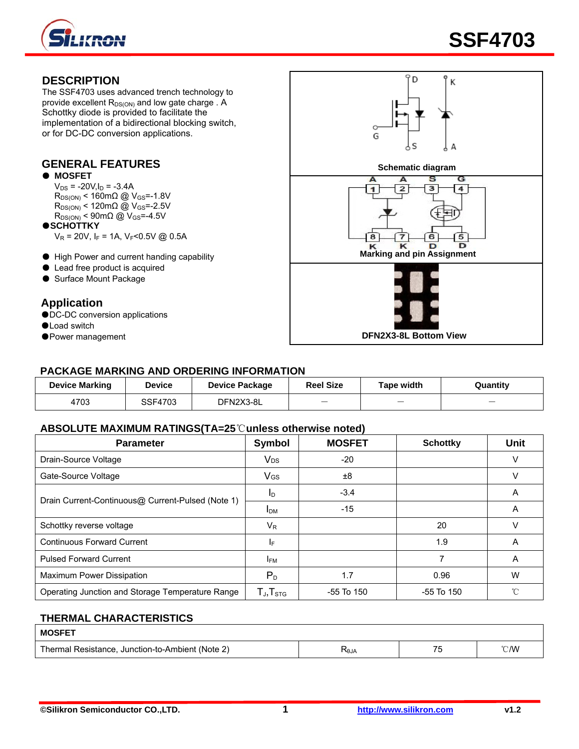



#### **DESCRIPTION**

The SSF4703 uses advanced trench technology to provide excellent  $R_{DS(ON)}$  and low gate charge . A Schottky diode is provided to facilitate the implementation of a bidirectional blocking switch, or for DC-DC conversion applications.

#### ● **MOSFET**

 $V_{DS}$  = -20V,  $I_D$  = -3.4A  $R_{DS(ON)}$  < 160mΩ @ V<sub>GS</sub>=-1.8V  $R_{DS(ON)}$  < 120mΩ @ V<sub>GS</sub>=-2.5V  $R_{DS(ON)}$  < 90m $\Omega$  @  $V_{GS}$  =-4.5V

●**SCHOTTKY**

 $V_R = 20V$ ,  $I_F = 1A$ ,  $V_F < 0.5V$  @ 0.5A

- 
- Lead free product is acquired
- Surface Mount Package

#### **Application**

- ●DC-DC conversion applications
- ●Load switch
- 



#### **PACKAGE MARKING AND ORDERING INFORMATION**

| <b>Device Marking</b> | Device  | <b>Device Package</b> | <b>Reel Size</b>         | <b>Tape width</b>        | Quantity                 |
|-----------------------|---------|-----------------------|--------------------------|--------------------------|--------------------------|
| 4703                  | SSF4703 | DFN2X3-8L             | $\overline{\phantom{m}}$ | $\overline{\phantom{a}}$ | $\overline{\phantom{a}}$ |

#### **ABSOLUTE MAXIMUM RATINGS(TA=25**℃**unless otherwise noted)**

| <b>Parameter</b>                                  | Symbol                                               | <b>MOSFET</b>  | <b>Schottky</b> | <b>Unit</b> |
|---------------------------------------------------|------------------------------------------------------|----------------|-----------------|-------------|
| Drain-Source Voltage                              | $V_{DS}$                                             | $-20$          |                 | ν           |
| Gate-Source Voltage                               | VGS                                                  | ±8             |                 | ν           |
| Drain Current-Continuous@ Current-Pulsed (Note 1) | In.                                                  | $-3.4$         |                 | Α           |
|                                                   | I <sub>DM</sub>                                      | $-15$          |                 | A           |
| Schottky reverse voltage                          | $V_R$                                                |                | 20              | v           |
| <b>Continuous Forward Current</b>                 | ΙF                                                   |                | 1.9             | A           |
| <b>Pulsed Forward Current</b>                     | <b>IFM</b>                                           |                |                 | A           |
| Maximum Power Dissipation                         | $P_D$                                                | 1.7            | 0.96            | W           |
| Operating Junction and Storage Temperature Range  | $\mathsf{T}_{\mathsf{J}}, \mathsf{T}_{\textsf{STG}}$ | $-55$ To $150$ | $-55$ To $150$  | °C          |

## **THERMAL CHARACTERISTICS**

| <b>MOSFFT</b>                                                       |             |    |                          |
|---------------------------------------------------------------------|-------------|----|--------------------------|
| $\cdot$ + (Note 2,<br>Thermal<br>Resistance.<br>Junction-to-Ambient | <b>RLGY</b> | -- | $\mathcal{C}/\mathsf{W}$ |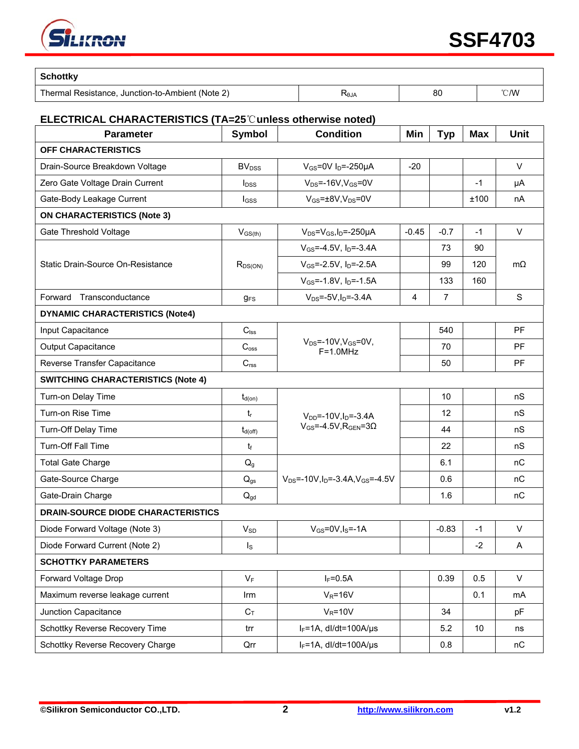

| <b>Schottky</b>                                  |      |    |                |
|--------------------------------------------------|------|----|----------------|
| Thermal Resistance, Junction-to-Ambient (Note 2) | RθJΑ | 80 | $^{\circ}$ C/W |

#### **ELECTRICAL CHARACTERISTICS (TA=25**℃**unless otherwise noted)**

| <b>Parameter</b>                          | <b>Symbol</b>            | <b>Condition</b>                                              | Min     | <b>Typ</b>     | <b>Max</b> | <b>Unit</b> |  |
|-------------------------------------------|--------------------------|---------------------------------------------------------------|---------|----------------|------------|-------------|--|
| OFF CHARACTERISTICS                       |                          |                                                               |         |                |            |             |  |
| Drain-Source Breakdown Voltage            | <b>BV</b> <sub>DSS</sub> | $V_{GS}$ =0V I <sub>D</sub> =-250µA                           | $-20$   |                |            | $\vee$      |  |
| Zero Gate Voltage Drain Current           | $I_{DSS}$                | $V_{DS}$ =-16V, $V_{GS}$ =0V                                  |         |                | $-1$       | μA          |  |
| Gate-Body Leakage Current                 | $I_{GSS}$                | $V_{GS}$ = $\pm$ 8V, V <sub>DS</sub> =0V                      |         |                | ±100       | nA          |  |
| <b>ON CHARACTERISTICS (Note 3)</b>        |                          |                                                               |         |                |            |             |  |
| Gate Threshold Voltage                    | $V_{GS(th)}$             | $V_{DS} = V_{GS}I_D = -250\mu A$                              | $-0.45$ | $-0.7$         | $-1$       | $\vee$      |  |
|                                           |                          | $V_{GS} = -4.5V$ , $I_D = -3.4A$                              |         | 73             | 90         | $m\Omega$   |  |
| Static Drain-Source On-Resistance         | $R_{DS(ON)}$             | $V_{GS}$ =-2.5V, $I_D$ =-2.5A                                 |         | 99             | 120        |             |  |
|                                           |                          | $V_{GS}$ =-1.8V, $I_{D}$ =-1.5A                               |         | 133            | 160        |             |  |
| Transconductance<br>Forward               | $q_{FS}$                 | $V_{DS} = -5V$ , $I_D = -3.4A$                                | 4       | $\overline{7}$ |            | S           |  |
| <b>DYNAMIC CHARACTERISTICS (Note4)</b>    |                          |                                                               |         |                |            |             |  |
| Input Capacitance                         | $C_{\text{lss}}$         |                                                               |         | 540            |            | PF          |  |
| Output Capacitance                        | C <sub>oss</sub>         | $V_{DS} = -10V, V_{GS} = 0V,$<br>$F=1.0MHz$                   |         | 70             |            | <b>PF</b>   |  |
| Reverse Transfer Capacitance              | C <sub>rss</sub>         |                                                               |         | 50             |            | PF          |  |
| <b>SWITCHING CHARACTERISTICS (Note 4)</b> |                          |                                                               |         |                |            |             |  |
| Turn-on Delay Time                        | $t_{d(on)}$              |                                                               |         | 10             |            | nS          |  |
| Turn-on Rise Time                         | $t_{r}$                  | $V_{DD}$ =-10V, $I_D$ =-3.4A                                  |         | 12             |            | nS          |  |
| Turn-Off Delay Time                       | $t_{d(off)}$             | $V_{GS} = -4.5V$ , R <sub>GEN</sub> =30                       |         | 44             |            | nS          |  |
| Turn-Off Fall Time                        | tf                       |                                                               |         | 22             |            | nS          |  |
| <b>Total Gate Charge</b>                  | Q <sub>g</sub>           |                                                               |         | 6.1            |            | nC          |  |
| Gate-Source Charge                        | $Q_{gs}$                 | $V_{DS}$ =-10V, I <sub>D</sub> =-3.4A, V <sub>GS</sub> =-4.5V |         | 0.6            |            | nC          |  |
| Gate-Drain Charge                         | $Q_{gd}$                 |                                                               |         | 1.6            |            | nC          |  |
| <b>DRAIN-SOURCE DIODE CHARACTERISTICS</b> |                          |                                                               |         |                |            |             |  |
| Diode Forward Voltage (Note 3)            | $V_{SD}$                 | $V_{GS}$ =0V, $I_S$ =-1A                                      |         | $-0.83$        | $-1$       | $\vee$      |  |
| Diode Forward Current (Note 2)            | $I_{\rm S}$              |                                                               |         |                | $-2$       | Α           |  |
| <b>SCHOTTKY PARAMETERS</b>                |                          |                                                               |         |                |            |             |  |
| Forward Voltage Drop                      | $V_F$                    | $I_F = 0.5A$                                                  |         | 0.39           | 0.5        | $\vee$      |  |
| Maximum reverse leakage current           | Irm                      | $V_R = 16V$                                                   |         |                | 0.1        | mA          |  |
| Junction Capacitance                      | $C_T$                    | $V_R = 10V$                                                   |         | 34             |            | pF          |  |
| Schottky Reverse Recovery Time            | trr                      | $I_F = 1A$ , dl/dt=100A/µs                                    |         | 5.2            | 10         | ns          |  |
| Schottky Reverse Recovery Charge          | Qrr                      | $I_F = 1A$ , dl/dt=100A/µs                                    |         | 0.8            |            | nC          |  |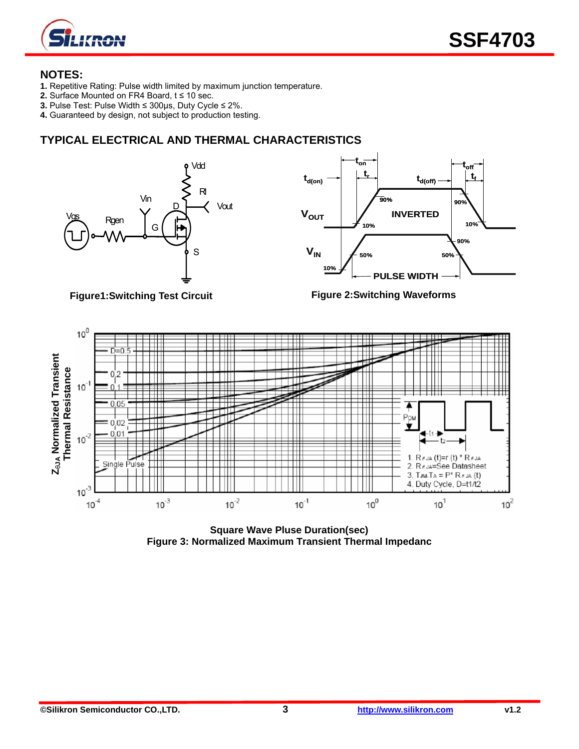

#### **NOTES:**

- **1.** Repetitive Rating: Pulse width limited by maximum junction temperature.
- **2.** Surface Mounted on FR4 Board, t ≤ 10 sec.
- **3.** Pulse Test: Pulse Width ≤ 300μs, Duty Cycle ≤ 2%.
- **4.** Guaranteed by design, not subject to production testing.

### **TYPICAL ELECTRICAL AND THERMAL CHARACTERISTICS**





**Figure1:Switching Test Circuit** 

**Figure 2:Switching Waveforms** 



**Square Wave Pluse Duration(sec) Figure 3: Normalized Maximum Transient Thermal Impedanc**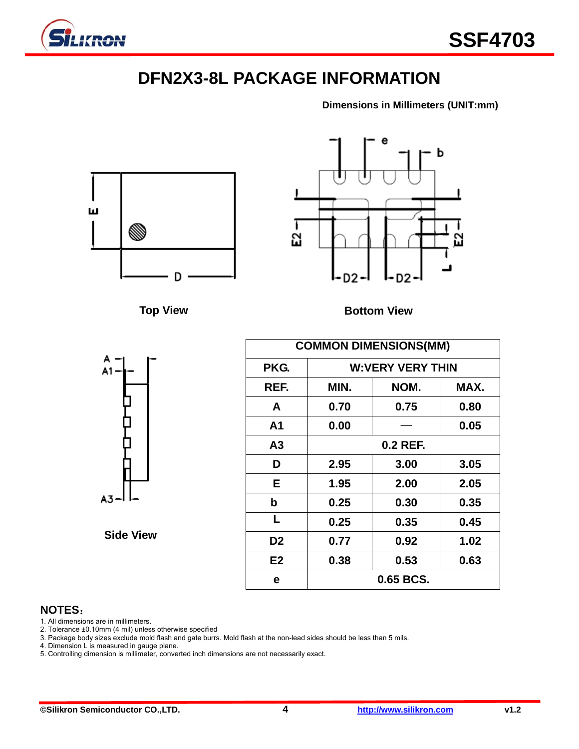

# **DFN2X3-8L PACKAGE INFORMATION**

**Dimensions in Millimeters (UNIT:mm)**





**Top View Bottom View** 



|                  |                | <b>COMMON DIMENSIONS(MM)</b> |           |      |  |  |  |
|------------------|----------------|------------------------------|-----------|------|--|--|--|
| A<br>۹1          | PKG.           | <b>W:VERY VERY THIN</b>      |           |      |  |  |  |
|                  | REF.           | MIN.                         | NOM.      | MAX. |  |  |  |
|                  | A              | 0.70                         | 0.75      | 0.80 |  |  |  |
|                  | A1             | 0.00                         |           | 0.05 |  |  |  |
|                  | A3             | 0.2 REF.                     |           |      |  |  |  |
|                  | D              | 2.95                         | 3.00      | 3.05 |  |  |  |
|                  | Е              | 1.95                         | 2.00      | 2.05 |  |  |  |
| ៶3ᅴ              | $\mathbf b$    | 0.25                         | 0.30      | 0.35 |  |  |  |
|                  | L              | 0.25                         | 0.35      | 0.45 |  |  |  |
| <b>Side View</b> | D <sub>2</sub> | 0.77                         | 0.92      | 1.02 |  |  |  |
|                  | E2             | 0.38                         | 0.53      | 0.63 |  |  |  |
|                  | e              |                              | 0.65 BCS. |      |  |  |  |

### **NOTES**:

- 1. All dimensions are in millimeters.
- 2. Tolerance ±0.10mm (4 mil) unless otherwise specified
- 3. Package body sizes exclude mold flash and gate burrs. Mold flash at the non-lead sides should be less than 5 mils.
- 4. Dimension L is measured in gauge plane.
- 5. Controlling dimension is millimeter, converted inch dimensions are not necessarily exact.